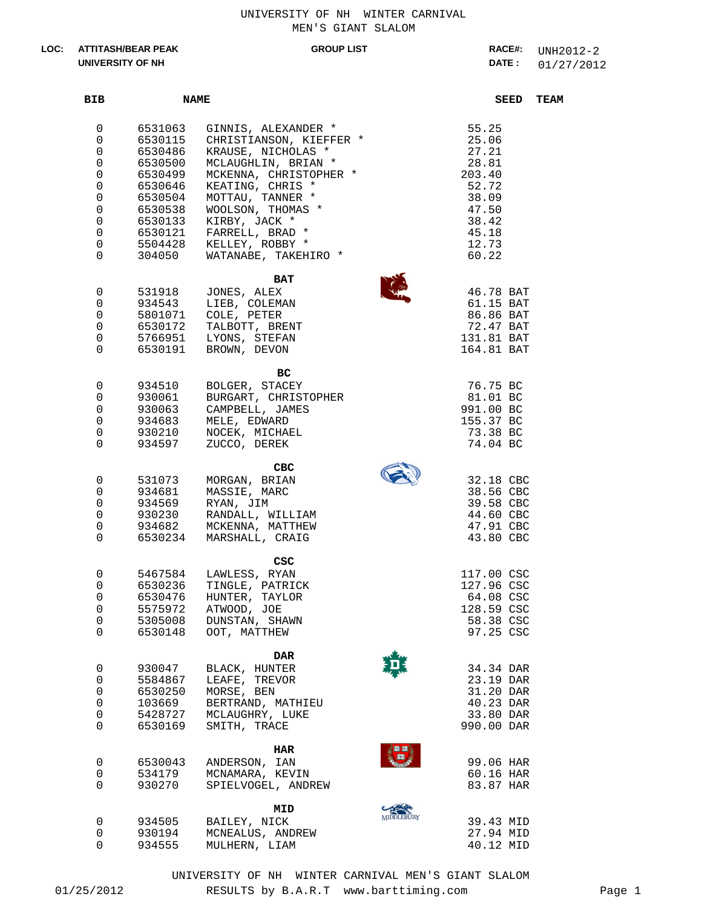UNIVERSITY OF NH WINTER CARNIVAL MEN'S GIANT SLALOM

## **ATTITASH/BEAR PEAK LOC: UNIVERSITY OF NH**

## **GROUP LIST**

01/27/2012 **DATE : RACE#:** UNH2012-2

| BIB                                                             | <b>NAME</b>                                                                                               |                                                                                                                                                                                                                                                                                   |                   |                                                                                                           | SEED | <b>TEAM</b> |
|-----------------------------------------------------------------|-----------------------------------------------------------------------------------------------------------|-----------------------------------------------------------------------------------------------------------------------------------------------------------------------------------------------------------------------------------------------------------------------------------|-------------------|-----------------------------------------------------------------------------------------------------------|------|-------------|
| 0<br>0<br>0<br>0<br>0<br>0<br>0<br>0<br>0<br>0<br>0<br>$\Omega$ | 6531063<br>6530115<br>6530486<br>6530500<br>6530499<br>6530646<br>6530504<br>6530538<br>6530133<br>304050 | GINNIS, ALEXANDER *<br>CHRISTIANSON, KIEFFER *<br>KRAUSE, NICHOLAS *<br>MCLAUGHLIN, BRIAN *<br>MCKENNA, CHRISTOPHER *<br>KEATING, CHRIS *<br>MOTTAU, TANNER *<br>WOOLSON, THOMAS *<br>KIRBY, JACK *<br>6530121 FARRELL, BRAD *<br>5504428 KELLEY, ROBBY *<br>WATANABE, TAKEHIRO * |                   | 55.25<br>25.06<br>27.21<br>28.81<br>203.40<br>52.72<br>38.09<br>47.50<br>38.42<br>45.18<br>12.73<br>60.22 |      |             |
| 0<br>0<br>0<br>0<br>0<br>$\Omega$                               | 531918<br>934543                                                                                          | BAT<br>JONES, ALEX<br>LIEB, COLEMAN<br>5801071 COLE, PETER<br>6530172 TALBOTT, BRENT<br>5766951 LYONS, STEFAN<br>6530191 BROWN, DEVON                                                                                                                                             |                   | 46.78 BAT<br>61.15 BAT<br>86.86 BAT<br>72.47 BAT<br>131.81 BAT<br>164.81 BAT                              |      |             |
| 0<br>$\overline{0}$<br>0<br>0<br>0<br>$\overline{0}$            | 934510<br>930061<br>930063<br>934683<br>930210                                                            | вc<br>BOLGER, STACEY<br>BURGART, CHRISTOPHER<br>CAMPBELL, JAMES<br>MELE, EDWARD<br>NOCEK, MICHAEL<br>934597 ZUCCO, DEREK                                                                                                                                                          |                   | 76.75 BC<br>81.01 BC<br>991.00 BC<br>155.37 BC<br>73.38 BC<br>74.04 BC                                    |      |             |
| 0<br>0<br>0<br>0<br>0<br>$\Omega$                               | 531073<br>934681<br>934569<br>930230<br>934682<br>6530234                                                 | CBC<br>MORGAN, BRIAN<br>MASSIE, MARC<br>RYAN, JIM<br>RANDALL, WILLIAM<br>MCKENNA, MATTHEW<br>MARSHALL, CRAIG                                                                                                                                                                      |                   | 32.18 CBC<br>38.56 CBC<br>39.58 CBC<br>44.60 CBC<br>47.91 CBC<br>43.80 CBC                                |      |             |
| 0<br>0<br>0<br>0<br>0<br>0                                      | 6530476<br>5305008<br>6530148                                                                             | CSC<br>5467584 LAWLESS, RYAN<br>6530236 TINGLE, PATRICK<br>HUNTER, TAYLOR<br>5575972 ATWOOD, JOE<br>DUNSTAN, SHAWN<br>OOT, MATTHEW                                                                                                                                                |                   | 117.00 CSC<br>127.96 CSC<br>64.08 CSC<br>128.59 CSC<br>58.38 CSC<br>97.25 CSC                             |      |             |
| 0<br>0<br>0<br>0<br>0<br>0                                      | 930047<br>5584867<br>6530250<br>103669<br>5428727<br>6530169                                              | DAR<br>BLACK, HUNTER<br>LEAFE, TREVOR<br>MORSE, BEN<br>BERTRAND, MATHIEU<br>MCLAUGHRY, LUKE<br>SMITH, TRACE                                                                                                                                                                       |                   | 34.34 DAR<br>23.19 DAR<br>31.20 DAR<br>40.23 DAR<br>33.80 DAR<br>990.00 DAR                               |      |             |
| 0<br>0<br>0                                                     | 6530043<br>534179<br>930270                                                                               | HAR<br>ANDERSON, IAN<br>MCNAMARA, KEVIN<br>SPIELVOGEL, ANDREW                                                                                                                                                                                                                     |                   | 99.06 HAR<br>60.16 HAR<br>83.87 HAR                                                                       |      |             |
| 0<br>0<br>0                                                     | 934505<br>930194<br>934555                                                                                | MID<br>BAILEY, NICK<br>MCNEALUS, ANDREW<br>MULHERN, LIAM                                                                                                                                                                                                                          | <b>MIDDLEBURY</b> | 39.43 MID<br>27.94 MID<br>40.12 MID                                                                       |      |             |

UNIVERSITY OF NH WINTER CARNIVAL MEN'S GIANT SLALOM

01/25/2012 RESULTS by B.A.R.T www.barttiming.com Page 1